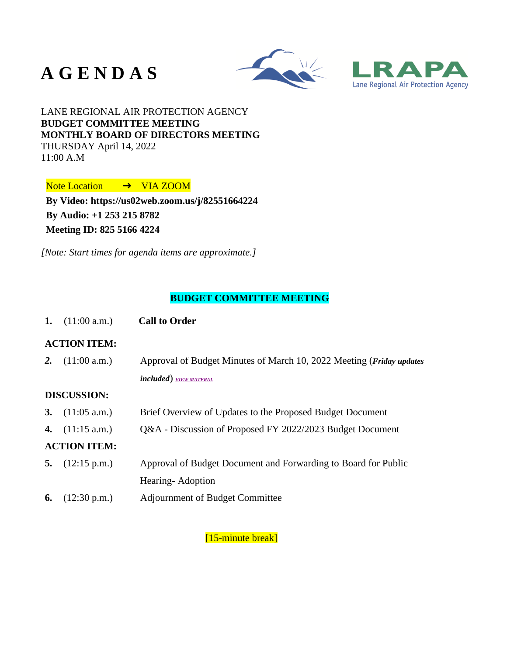# **A G E N D A S**





# LANE REGIONAL AIR PROTECTION AGENCY **BUDGET COMMITTEE MEETING MONTHLY BOARD OF DIRECTORS MEETING** THURSDAY April 14, 2022 11:00 A.M

Note Location → VIA ZOOM

**By Video:<https://us02web.zoom.us/j/82551664224> By Audio: +1 253 215 8782 Meeting ID: 825 5166 4224**

*[Note: Start times for agenda items are approximate.]*

# **BUDGET COMMITTEE MEETING**

**1.** (11:00 a.m.) **Call to Order**

## **ACTION ITEM:**

*2.* (11:00 a.m.) Approval of Budget Minutes of March 10, 2022 Meeting (*Friday updates included*) *[VIEW MATERAL](https://www.lrapa.org/DocumentCenter/View/6299/2---FINAL-budget-MINS)*

## **DISCUSSION:**

**3.** (11:05 a.m.) Brief Overview of Updates to the Proposed Budget Document **4.** (11:15 a.m.) Q&A - Discussion of Proposed FY 2022/2023 Budget Document **ACTION ITEM: 5.** (12:15 p.m.) Approval of Budget Document and Forwarding to Board for Public Hearing- Adoption **6.** (12:30 p.m.) Adjournment of Budget Committee

[15-minute break]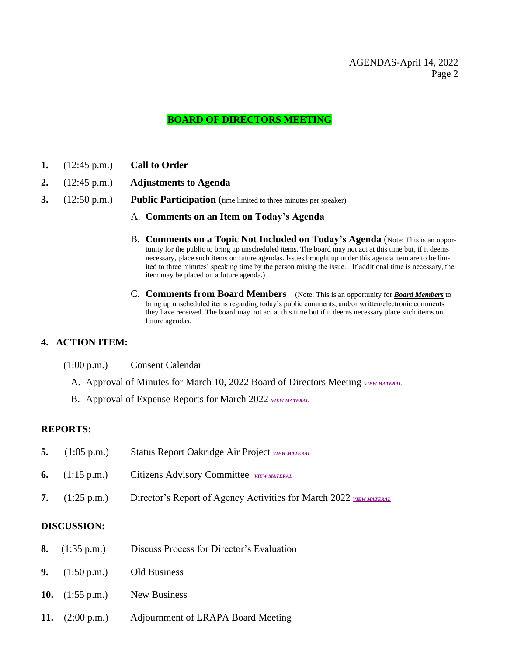# AGENDAS-April 14, 2022 Page 2

# **BOARD OF DIRECTORS MEETING**

- **1.** (12:45 p.m.) **Call to Order**
- **2.** (12:45 p.m.) **Adjustments to Agenda**
- **3.** (12:50 p.m.) **Public Participation** (time limited to three minutes per speaker)
	- A. **Comments on an Item on Today's Agenda**
	- B. **Comments on a Topic Not Included on Today's Agenda** (Note: This is an opportunity for the public to bring up unscheduled items. The board may not act at this time but, if it deems necessary, place such items on future agendas. Issues brought up under this agenda item are to be limited to three minutes' speaking time by the person raising the issue. If additional time is necessary, the item may be placed on a future agenda.)
	- C. **Comments from Board Members** (Note: This is an opportunity for *Board Members* to bring up unscheduled items regarding today's public comments, and/or written/electronic comments they have received. The board may not act at this time but if it deems necessary place such items on future agendas.

# **4. ACTION ITEM:**

- (1:00 p.m.) Consent Calendar
	- A. Approval of Minutes for March 10, 2022 Board of Directors Meeting **[VIEW MATERAL](https://www.lrapa.org/DocumentCenter/View/6300/4a)**
	- B. Approval of Expense Reports for March 2022 *[VIEW MATERAL](https://www.lrapa.org/DocumentCenter/View/6301/4b)*

#### **REPORTS:**

| 5. $(1:05 \text{ p.m.})$ | Status Report Oakridge Air Project VIEW MATERAL                                               |
|--------------------------|-----------------------------------------------------------------------------------------------|
|                          | <b>6.</b> $(1:15 \text{ p.m.})$ Citizens Advisory Committee $\frac{VIEWMATERAL}{VIEWMATERAL}$ |
| 7. $(1:25 \text{ p.m.})$ | Director's Report of Agency Activities for March 2022 VIEW MATERAL                            |

#### **DISCUSSION:**

- **8.** (1:35 p.m.) Discuss Process for Director's Evaluation
- **9.** (1:50 p.m.) Old Business
- **10.** (1:55 p.m.) New Business
- **11.** (2:00 p.m.) Adjournment of LRAPA Board Meeting